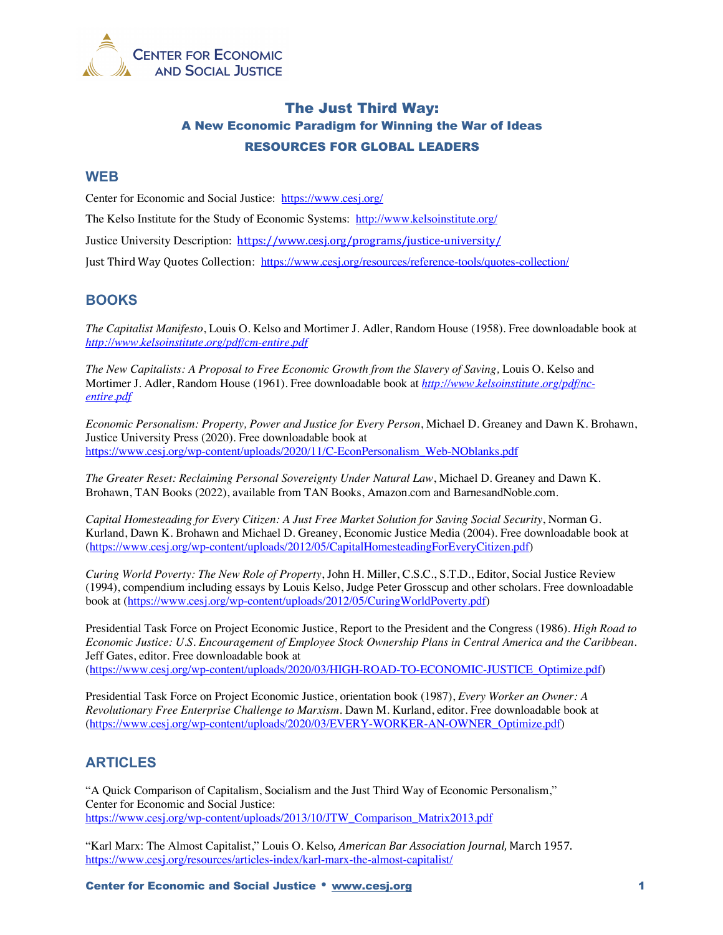

# The Just Third Way: A New Economic Paradigm for Winning the War of Ideas RESOURCES FOR GLOBAL LEADERS

#### **WEB**

Center for Economic and Social Justice: https://www.cesj.org/

The Kelso Institute for the Study of Economic Systems: http://www.kelsoinstitute.org/

Justice University Description: https://www.cesj.org/programs/justice-university/

Just Third Way Quotes Collection: https://www.cesj.org/resources/reference-tools/quotes-collection/

### **BOOKS**

*The Capitalist Manifesto*, Louis O. Kelso and Mortimer J. Adler, Random House (1958). Free downloadable book at *http://www.kelsoinstitute.org/pdf/cm-entire.pdf*

*The New Capitalists: A Proposal to Free Economic Growth from the Slavery of Saving,* Louis O. Kelso and Mortimer J. Adler, Random House (1961). Free downloadable book at *http://www.kelsoinstitute.org/pdf/ncentire.pdf*

*Economic Personalism: Property, Power and Justice for Every Person*, Michael D. Greaney and Dawn K. Brohawn, Justice University Press (2020). Free downloadable book at https://www.cesj.org/wp-content/uploads/2020/11/C-EconPersonalism\_Web-NOblanks.pdf

*The Greater Reset: Reclaiming Personal Sovereignty Under Natural Law*, Michael D. Greaney and Dawn K. Brohawn, TAN Books (2022), available from TAN Books, Amazon.com and BarnesandNoble.com.

*Capital Homesteading for Every Citizen: A Just Free Market Solution for Saving Social Security*, Norman G. Kurland, Dawn K. Brohawn and Michael D. Greaney, Economic Justice Media (2004). Free downloadable book at (https://www.cesj.org/wp-content/uploads/2012/05/CapitalHomesteadingForEveryCitizen.pdf)

*Curing World Poverty: The New Role of Property*, John H. Miller, C.S.C., S.T.D., Editor, Social Justice Review (1994), compendium including essays by Louis Kelso, Judge Peter Grosscup and other scholars. Free downloadable book at (https://www.cesj.org/wp-content/uploads/2012/05/CuringWorldPoverty.pdf)

Presidential Task Force on Project Economic Justice, Report to the President and the Congress (1986). *High Road to Economic Justice: U.S. Encouragement of Employee Stock Ownership Plans in Central America and the Caribbean*. Jeff Gates, editor. Free downloadable book at (https://www.cesj.org/wp-content/uploads/2020/03/HIGH-ROAD-TO-ECONOMIC-JUSTICE\_Optimize.pdf)

Presidential Task Force on Project Economic Justice, orientation book (1987), *Every Worker an Owner: A Revolutionary Free Enterprise Challenge to Marxism*. Dawn M. Kurland, editor. Free downloadable book at (https://www.cesj.org/wp-content/uploads/2020/03/EVERY-WORKER-AN-OWNER\_Optimize.pdf)

# **ARTICLES**

"A Quick Comparison of Capitalism, Socialism and the Just Third Way of Economic Personalism," Center for Economic and Social Justice: https://www.cesj.org/wp-content/uploads/2013/10/JTW\_Comparison\_Matrix2013.pdf

"Karl Marx: The Almost Capitalist," Louis O. Kelso, *American Bar Association Journal*, March 1957. https://www.cesj.org/resources/articles-index/karl-marx-the-almost-capitalist/

Center for Economic and Social Justice www.cesj.org 1